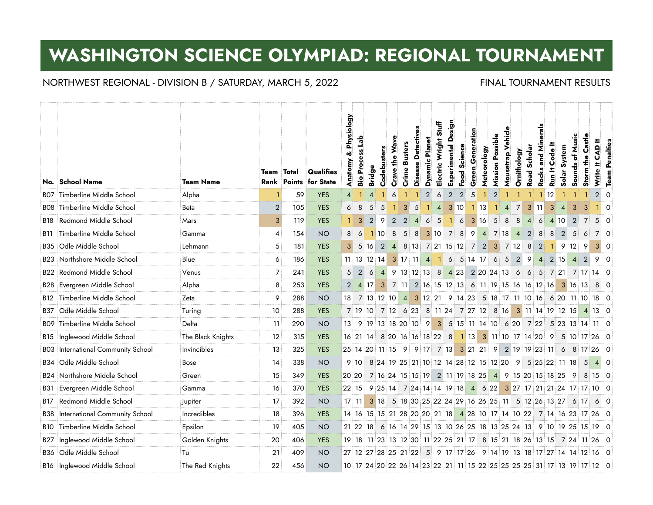# **WASHINGTON SCIENCE OLYMPIAD: REGIONAL TOURNAMENT**

## NORTHWEST REGIONAL - DIVISION B / SATURDAY, MARCH 5, 2022 FINAL TOURNAMENT RESULTS

|                 |                                           |                   |                   |     |                                           | & Physiology   | <b>Process Lab</b> |                | Codebusters    | Crave the Wave                                  | <b>Crime Busters</b> | Detectives     | <b>Dynamic Planet</b>   | <b>Stuff</b><br>Electric Wright | Design<br>Experimental | Science        | Generation   | Meteorology | <b>Mission Possible</b> | Mousetrap Vehicle | Ornithology    | Scholar        | erals<br>and Min | Code It | Solar System                                                           | Sounds of Music  | Castle         | CAD <sup>I+</sup> | <b>Team Penalties</b> |
|-----------------|-------------------------------------------|-------------------|-------------------|-----|-------------------------------------------|----------------|--------------------|----------------|----------------|-------------------------------------------------|----------------------|----------------|-------------------------|---------------------------------|------------------------|----------------|--------------|-------------|-------------------------|-------------------|----------------|----------------|------------------|---------|------------------------------------------------------------------------|------------------|----------------|-------------------|-----------------------|
|                 | No. School Name                           | <b>Team Name</b>  | <b>Team Total</b> |     | Qualifies<br><b>Rank Points for State</b> | Anatomy        | Bio                | <b>Bridge</b>  |                |                                                 |                      | <b>Disease</b> |                         |                                 |                        | Food           | Green        |             |                         |                   |                | Road           | Rocks            | Run It  |                                                                        |                  | Storm the      | Write It          |                       |
| BO7             | Timberline Middle School                  | Alpha             |                   | 59  | <b>YES</b>                                | 4              |                    |                |                | 6                                               |                      |                | $\overline{2}$          | 6                               | $\overline{2}$         | $\overline{2}$ | 5            |             | $\overline{2}$          |                   |                |                |                  | 1 12    |                                                                        |                  |                | $2 \mid 0$        |                       |
|                 | <b>BO8</b> Timberline Middle School       | <b>Beta</b>       | $\overline{2}$    | 105 | <b>YES</b>                                | 6              | 8                  | 5              | 5              |                                                 | $\mathbf{3}$         | 5              |                         | $\overline{4}$                  | 3 10                   |                | $1 \vert 13$ |             | $\blacksquare$          | $\vert$ 4         | $\overline{7}$ |                | 3 11             | 3       | $\overline{4}$                                                         | 3                | 3              |                   | $\Omega$              |
| B18             | Redmond Middle School                     | Mars              | 3                 | 119 | <b>YES</b>                                |                | 3                  | $\overline{2}$ | 9              | $\overline{2}$                                  | $\overline{2}$       |                | 6                       | 5                               | -11                    | 6              | 3 16         |             | $5\phantom{.0}$         | 8                 | 8              | $\overline{4}$ | 6                |         | 4 10                                                                   | $\overline{2}$   | $\overline{7}$ | $5 \mid 0$        |                       |
| B11             | Timberline Middle School                  | Gamma             | 4                 | 154 | <b>NO</b>                                 | 8              | 6                  |                | 110            | 8                                               | 5                    | 8              |                         |                                 | 3 10 7 8 9             |                |              |             | 4 7 18                  |                   | $\overline{4}$ | $\overline{2}$ | 8                | 8       |                                                                        | $2 \overline{5}$ | $\overline{6}$ | $7\vert 0$        |                       |
| B35             | Odle Middle School                        | Lehmann           | 5                 | 181 | <b>YES</b>                                | 3 <sup>1</sup> | -5                 | 16             | $\overline{2}$ |                                                 |                      |                | 4 8 13 7 21 15 12 7 2   |                                 |                        |                |              |             |                         | 3 7 12            |                | 8              | $\overline{2}$   | -11     |                                                                        | 9 12 9           |                | 3 <sup>1</sup>    | - 0                   |
| B23             | Northshore Middle School                  | Blue              | 6                 | 186 | <b>YES</b>                                |                |                    | 11 13 12 14    |                |                                                 |                      |                | 3 17 11 4 1 6 5 14 17 6 |                                 |                        |                |              |             |                         | 5                 |                | 2 9            | $\overline{4}$   |         | 2 15                                                                   | $\overline{4}$   | $\overline{2}$ | 90                |                       |
| B22             | Redmond Middle School                     | Venus             | 7                 | 241 | <b>YES</b>                                | 5 <sup>1</sup> | $\overline{2}$     | 6              |                |                                                 |                      |                |                         |                                 |                        |                |              |             |                         |                   |                |                |                  |         | 4 9 13 12 13 8 4 23 2 20 24 13 6 6 5 7 21 7 17 14 0                    |                  |                |                   |                       |
|                 | <b>B28 Evergreen Middle School</b>        | Alpha             | 8                 | 253 | <b>YES</b>                                | 2 <sup>1</sup> |                    | 4 17           |                |                                                 |                      |                |                         |                                 |                        |                |              |             |                         |                   |                |                |                  |         | 3 7 11 2 16 15 12 13 6 11 19 15 16 16 12 16 3 16 13                    |                  |                | $8 \mid 0$        |                       |
| B12             | Timberline Middle School                  | Zeta              | 9                 | 288 | <b>NO</b>                                 |                |                    |                |                |                                                 |                      |                |                         |                                 |                        |                |              |             |                         |                   |                |                |                  |         | 18 7 13 12 10 4 3 12 21 9 14 23 5 18 17 11 10 16 6 20 11 10            |                  |                | 18 O              |                       |
| B37             | Odle Middle School                        | Turing            | 10                | 288 | <b>YES</b>                                |                |                    | 7 19 10        |                |                                                 |                      |                |                         |                                 |                        |                |              |             |                         |                   |                |                |                  |         | 7 12 6 23 8 11 24 7 27 12 8 16 3 11 14 19 12 15                        |                  |                | 4 13 0            |                       |
| BO9             | Timberline Middle School                  | Delta             | 11                | 290 | <b>NO</b>                                 |                |                    |                |                | 13 9 19 13 18 20 10 9 3 5 15 11 14 10 6 20 7 22 |                      |                |                         |                                 |                        |                |              |             |                         |                   |                |                |                  |         | $5$ 23 13 14 11 0                                                      |                  |                |                   |                       |
| B15             | Inglewood Middle School                   | The Black Knights | 12                | 315 | <b>YES</b>                                |                |                    |                |                |                                                 |                      |                |                         |                                 |                        |                |              |             |                         |                   |                |                |                  |         | 16 21 14 8 20 16 16 18 22 8 1 13 3 11 10 17 14 20 9 5 10 17 26 0       |                  |                |                   |                       |
|                 | <b>BO3</b> International Community School | Invincibles       | 13                | 325 | <b>YES</b>                                |                |                    |                |                |                                                 |                      |                |                         |                                 |                        |                |              |             |                         |                   |                |                |                  |         | 25 14 20 11 15 9 9 17 7 13 3 21 21 9 2 19 19 23 11 6 8 17 26 0         |                  |                |                   |                       |
| B34             | Odle Middle School                        | Bose              | 14                | 338 | <b>NO</b>                                 |                | 9:10               |                |                |                                                 |                      |                |                         |                                 |                        |                |              |             |                         |                   |                |                |                  |         | 8 24 19 25 21 10 12 14 28 12 15 12 20 9 5 25 22 11 18                  |                  | - 5            | $4 \cap$          |                       |
|                 | <b>B24 Northshore Middle School</b>       | Green             | 15                | 349 | <b>YES</b>                                | 20 20          |                    |                |                |                                                 |                      |                |                         |                                 |                        |                |              |             |                         |                   |                |                |                  |         | 7 16 24 15 15 19 2 11 19 18 25 4 9 15 20 15 18 25 9 8 15 0             |                  |                |                   |                       |
| B31             | Evergreen Middle School                   | Gamma             | 16                | 370 | <b>YES</b>                                | $22 \ 15$      |                    |                |                |                                                 |                      |                |                         |                                 |                        |                |              |             |                         |                   |                |                |                  |         | 9 25 14 7 24 14 14 19 18 4 6 22 3 27 17 21 21 24 17 17 10 0            |                  |                |                   |                       |
| B17             | Redmond Middle School                     | lupiter           | 17                | 392 | <b>NO</b>                                 |                |                    |                |                |                                                 |                      |                |                         |                                 |                        |                |              |             |                         |                   |                |                |                  |         | 17 11 3 18 5 18 30 25 22 24 29 16 26 25 11 5 12 26 13 27 6 17 6 0      |                  |                |                   |                       |
| B38             | International Community School            | Incredibles       | 18                | 396 | <b>YES</b>                                |                |                    |                |                |                                                 |                      |                |                         |                                 |                        |                |              |             |                         |                   |                |                |                  |         | 14 16 15 15 21 28 20 20 21 18 4 28 10 17 14 10 22 7 14 16 23 17 26 0   |                  |                |                   |                       |
| B10             | Timberline Middle School                  | Epsilon           | 19                | 405 | <b>NO</b>                                 |                |                    | 21 22 18       |                |                                                 |                      |                |                         |                                 |                        |                |              |             |                         |                   |                |                |                  |         | 6 16 14 29 15 13 10 26 25 18 13 25 24 13 9 10 19 25 15 19 0            |                  |                |                   |                       |
| B <sub>27</sub> | Inglewood Middle School                   | Golden Knights    | 20                | 406 | <b>YES</b>                                |                |                    |                |                |                                                 |                      |                |                         |                                 |                        |                |              |             |                         |                   |                |                |                  |         | 19 18 11 23 13 12 30 11 22 25 21 17 8 15 21 18 26 13 15 7 24 11 26 0   |                  |                |                   |                       |
| B36             | Odle Middle School                        | Tu                | 21                | 409 | <b>NO</b>                                 |                |                    |                |                |                                                 |                      |                |                         |                                 |                        |                |              |             |                         |                   |                |                |                  |         | 27 12 27 28 25 21 22 5 9 17 17 26 9 14 19 13 18 17 27 14 14 12 16 0    |                  |                |                   |                       |
|                 | B16 Inglewood Middle School               | The Red Knights   | 22                | 456 | <b>NO</b>                                 |                |                    |                |                |                                                 |                      |                |                         |                                 |                        |                |              |             |                         |                   |                |                |                  |         | 10 17 24 20 22 26 14 23 22 21 11 15 22 25 25 25 25 31 17 13 19 17 12 0 |                  |                |                   |                       |